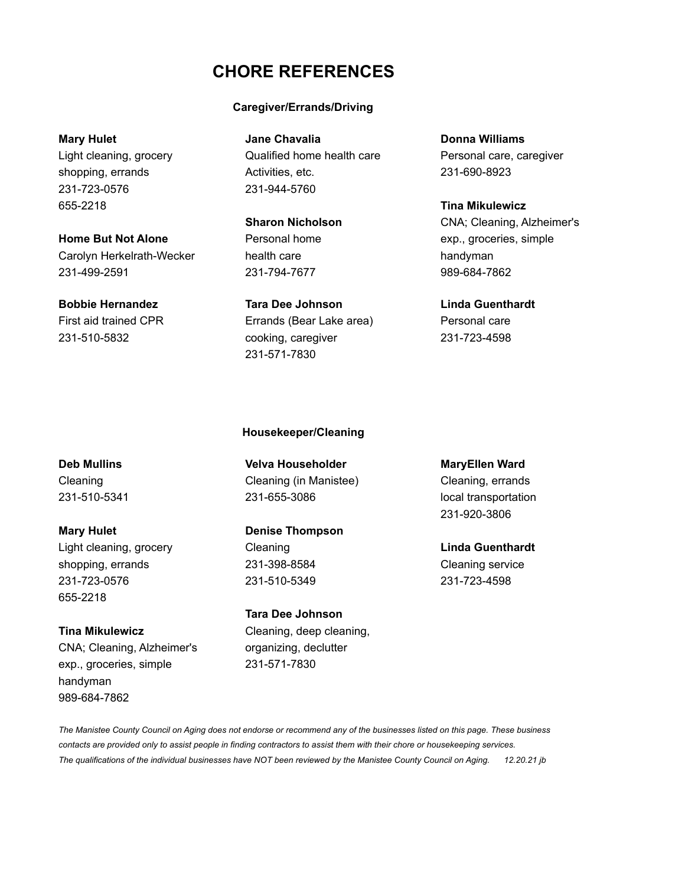# **CHORE REFERENCES**

### **Caregiver/Errands/Driving**

**Mary Hulet Donna Williams Jane Chavalia Donna Williams** Light cleaning, grocery Qualified home health care Personal care, caregiver shopping, errands **Activities**, etc. 231-690-8923

**Bobbie Hernandez Tara Dee Johnson Linda Guenthardt** First aid trained CPR Errands (Bear Lake area) Personal care 231-510-5832 cooking, caregiver 231-723-4598 231-571-7830

**Sharon Nicholson** CNA; Cleaning, Alzheimer's

**Mary Hulet Denise Thompson** Light cleaning, grocery Cleaning **Linda Guenthardt** shopping, errands 231-398-8584 Cleaning service 231-723-0576 231-510-5349 231-723-4598 655-2218

**Tina Mikulewicz** Cleaning, deep cleaning, CNA; Cleaning, Alzheimer's organizing, declutter exp., groceries, simple 231-571-7830 handyman 989-684-7862

**Deb Mullins Velva Householder MaryEllen Ward** Cleaning Cleaning (in Manistee) Cleaning, errands 231-510-5341 231-655-3086 local transportation

**Housekeeper/Cleaning**

**Tara Dee Johnson**

231-920-3806

*The Manistee County Council on Aging does not endorse or recommend any of the businesses listed on this page. These business contacts are provided only to assist people in finding contractors to assist them with their chore or housekeeping services. The qualifications of the individual businesses have NOT been reviewed by the Manistee County Council on Aging. 12.20.21 jb*

231-723-0576 231-944-5760 655-2218 **Tina Mikulewicz**

**Home But Not Alone Personal home exp.**, groceries, simple Carolyn Herkelrath-Wecker health care handyman 231-499-2591 231-794-7677 989-684-7862